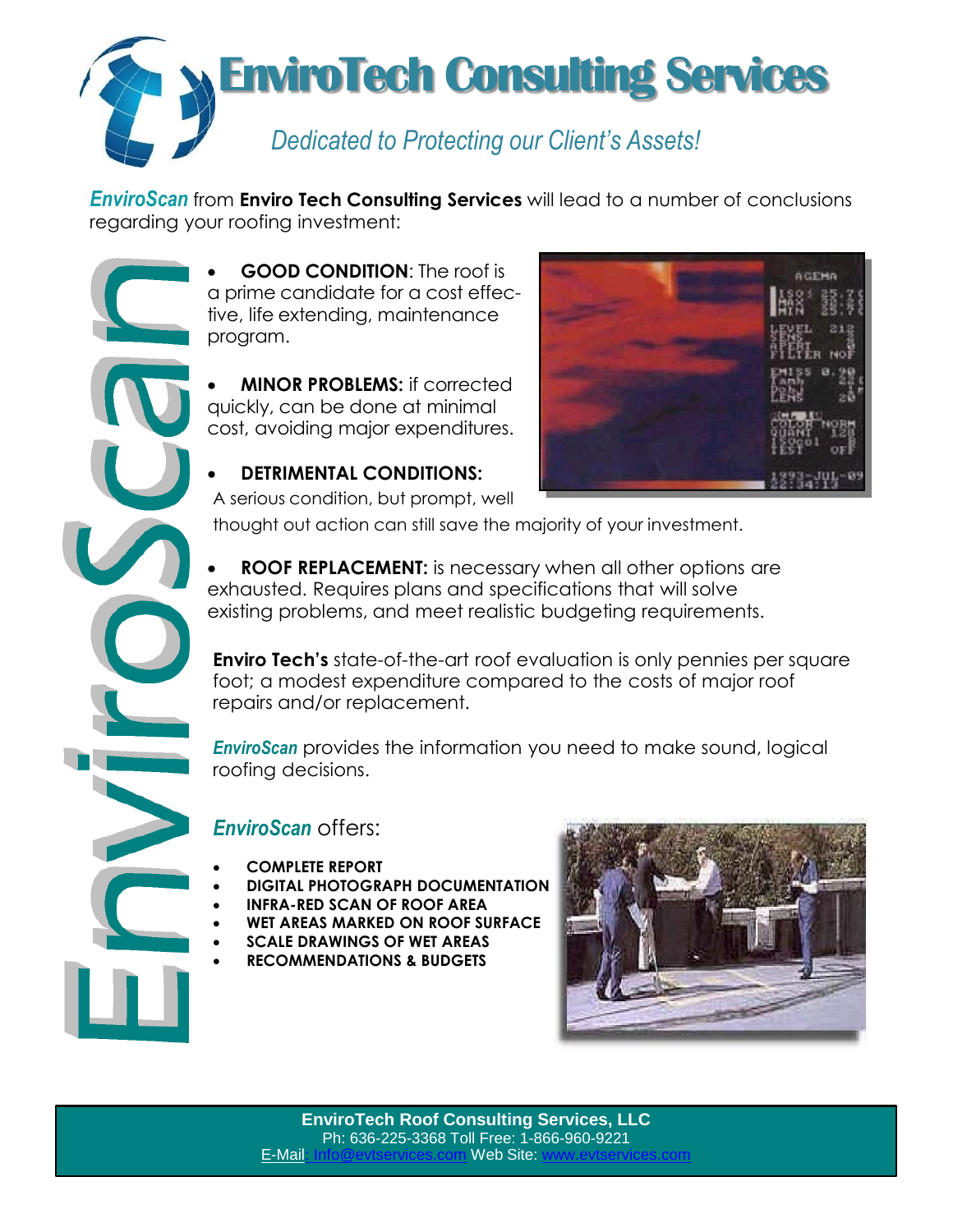

*EnviroScan* from **Enviro Tech Consulting Services** will lead to a number of conclusions regarding your roofing investment:

> **GOOD CONDITION**: The roof is a prime candidate for a cost effective, life extending, maintenance program.

 **MINOR PROBLEMS:** if corrected quickly, can be done at minimal cost, avoiding major expenditures.

## **DETRIMENTAL CONDITIONS:**

A serious condition, but prompt, well



thought out action can still save the majority of your investment.

 **ROOF REPLACEMENT:** is necessary when all other options are exhausted. Requires plans and specifications that will solve existing problems, and meet realistic budgeting requirements.

**Enviro Tech's** state-of-the-art roof evaluation is only pennies per square foot; a modest expenditure compared to the costs of major roof repairs and/or replacement.

*EnviroScan* provides the information you need to make sound, logical roofing decisions.

## *EnviroScan* offers:

- **COMPLETE REPORT**
- **DIGITAL PHOTOGRAPH DOCUMENTATION**
- **INFRA-RED SCAN OF ROOF AREA**
- **WET AREAS MARKED ON ROOF SURFACE**
- **SCALE DRAWINGS OF WET AREAS**
- **RECOMMENDATIONS & BUDGETS**



**EnviroTech Roof Consulting Services, LLC**  Ph: 636-225-3368 Toll Free: 1-866-960-9221 E-Mail: Info@evtservices.com Web Site: www.evtservices.com